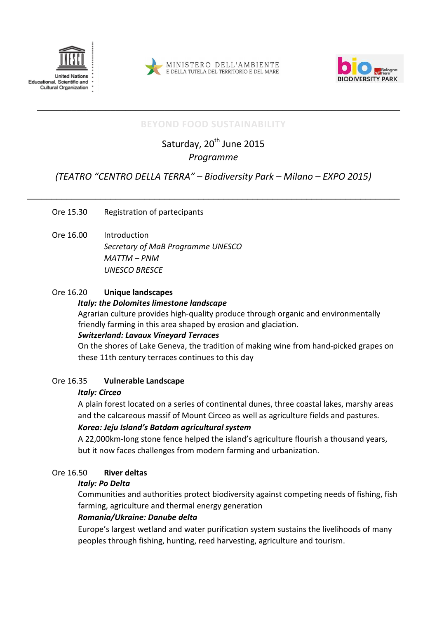





# **BEYOND FOOD SUSTAINABILITY**

\_\_\_\_\_\_\_\_\_\_\_\_\_\_\_\_\_\_\_\_\_\_\_\_\_\_\_\_\_\_\_\_\_\_\_\_\_\_\_\_\_\_\_\_\_\_\_\_\_\_\_\_\_\_\_\_\_\_\_\_\_\_\_\_\_\_\_\_\_\_\_\_\_\_

Saturday, 20<sup>th</sup> June 2015 *Programme* 

# *(TEATRO "CENTRO DELLA TERRA" – Biodiversity Park – Milano – EXPO 2015)*

\_\_\_\_\_\_\_\_\_\_\_\_\_\_\_\_\_\_\_\_\_\_\_\_\_\_\_\_\_\_\_\_\_\_\_\_\_\_\_\_\_\_\_\_\_\_\_\_\_\_\_\_\_\_\_\_\_\_\_\_\_\_\_\_\_\_\_\_\_\_\_\_\_\_\_\_

Ore 15.30 Registration of partecipants

Ore 16.00 Introduction *Secretary of MaB Programme UNESCO MATTM – PNM UNESCO BRESCE* 

## Ore 16.20 **Unique landscapes**

### *Italy: the Dolomites limestone landscape*

Agrarian culture provides high-quality produce through organic and environmentally friendly farming in this area shaped by erosion and glaciation.

### *Switzerland: Lavaux Vineyard Terraces*

On the shores of Lake Geneva, the tradition of making wine from hand-picked grapes on these 11th century terraces continues to this day

### Ore 16.35 **Vulnerable Landscape**

### *Italy: Circeo*

A plain forest located on a series of continental dunes, three coastal lakes, marshy areas and the calcareous massif of Mount Circeo as well as agriculture fields and pastures.

## *Korea: Jeju Island's Batdam agricultural system*

A 22,000km-long stone fence helped the island's agriculture flourish a thousand years, but it now faces challenges from modern farming and urbanization.

## Ore 16.50 **River deltas**

### *Italy: Po Delta*

Communities and authorities protect biodiversity against competing needs of fishing, fish farming, agriculture and thermal energy generation

## *Romania/Ukraine: Danube delta*

Europe's largest wetland and water purification system sustains the livelihoods of many peoples through fishing, hunting, reed harvesting, agriculture and tourism.